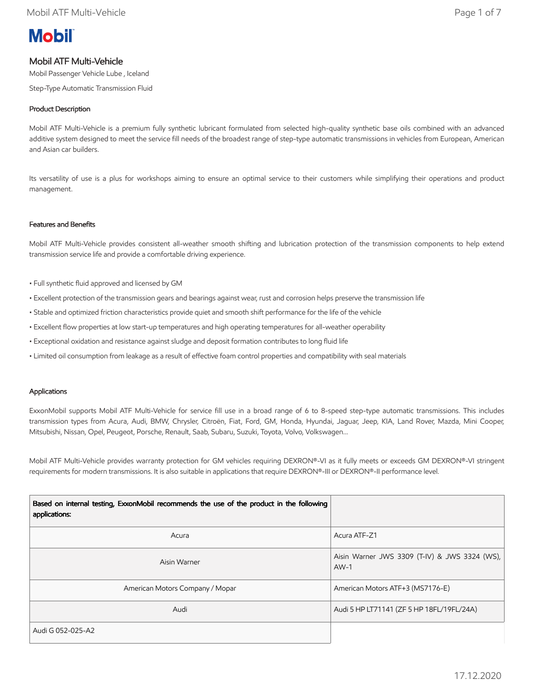# **Mobil**

# Mobil ATF Multi-Vehicle

Mobil Passenger Vehicle Lube , Iceland

Step-Type Automatic Transmission Fluid

# Product Description

Mobil ATF Multi-Vehicle is a premium fully synthetic lubricant formulated from selected high-quality synthetic base oils combined with an advanced additive system designed to meet the service fill needs of the broadest range of step-type automatic transmissions in vehicles from European, American and Asian car builders.

Its versatility of use is a plus for workshops aiming to ensure an optimal service to their customers while simplifying their operations and product management.

# Features and Benefits

Mobil ATF Multi-Vehicle provides consistent all-weather smooth shifting and lubrication protection of the transmission components to help extend transmission service life and provide a comfortable driving experience.

- Full synthetic fluid approved and licensed by GM
- Excellent protection of the transmission gears and bearings against wear, rust and corrosion helps preserve the transmission life
- Stable and optimized friction characteristics provide quiet and smooth shift performance for the life of the vehicle
- Excellent flow properties at low start-up temperatures and high operating temperatures for all-weather operability
- Exceptional oxidation and resistance against sludge and deposit formation contributes to long fluid life
- Limited oil consumption from leakage as a result of effective foam control properties and compatibility with seal materials

#### Applications

ExxonMobil supports Mobil ATF Multi-Vehicle for service fill use in a broad range of 6 to 8-speed step-type automatic transmissions. This includes transmission types from Acura, Audi, BMW, Chrysler, Citroën, Fiat, Ford, GM, Honda, Hyundai, Jaguar, Jeep, KIA, Land Rover, Mazda, Mini Cooper, Mitsubishi, Nissan, Opel, Peugeot, Porsche, Renault, Saab, Subaru, Suzuki, Toyota, Volvo, Volkswagen…

Mobil ATF Multi-Vehicle provides warranty protection for GM vehicles requiring DEXRON®-VI as it fully meets or exceeds GM DEXRON®-VI stringent requirements for modern transmissions. It is also suitable in applications that require DEXRON®-III or DEXRON®-II performance level.

| Based on internal testing, ExxonMobil recommends the use of the product in the following<br>applications: |                                                         |
|-----------------------------------------------------------------------------------------------------------|---------------------------------------------------------|
| Acura                                                                                                     | Acura ATF-Z1                                            |
| Aisin Warner                                                                                              | Aisin Warner JWS 3309 (T-IV) & JWS 3324 (WS),<br>$AW-1$ |
| American Motors Company / Mopar                                                                           | American Motors ATF+3 (MS7176-E)                        |
| Audi                                                                                                      | Audi 5 HP LT71141 (ZF 5 HP 18FL/19FL/24A)               |
| Audi G 052-025-A2                                                                                         |                                                         |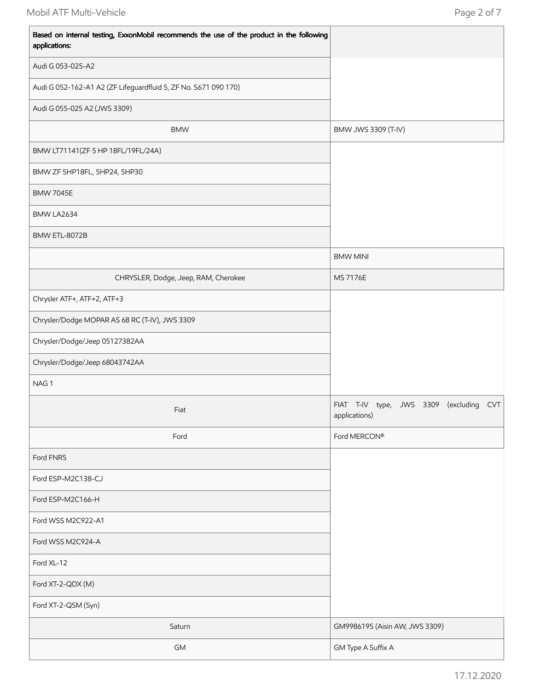$\mathbf{r}$ 

| Based on internal testing, ExxonMobil recommends the use of the product in the following<br>applications: |                                                                       |
|-----------------------------------------------------------------------------------------------------------|-----------------------------------------------------------------------|
| Audi G 053-025-A2                                                                                         |                                                                       |
| Audi G 052-162-A1 A2 (ZF Lifeguardfluid 5, ZF No. S671 090 170)                                           |                                                                       |
| Audi G 055-025 A2 (JWS 3309)                                                                              |                                                                       |
| <b>BMW</b>                                                                                                | BMW JWS 3309 (T-IV)                                                   |
| BMW LT71141(ZF 5 HP 18FL/19FL/24A)                                                                        |                                                                       |
| BMW ZF 5HP18FL, 5HP24, 5HP30                                                                              |                                                                       |
| <b>BMW 7045E</b>                                                                                          |                                                                       |
| BMW LA2634                                                                                                |                                                                       |
| BMW ETL-8072B                                                                                             |                                                                       |
|                                                                                                           | <b>BMW MINI</b>                                                       |
| CHRYSLER, Dodge, Jeep, RAM, Cherokee                                                                      | MS 7176E                                                              |
| Chrysler ATF+, ATF+2, ATF+3                                                                               |                                                                       |
| Chrysler/Dodge MOPAR AS 68 RC (T-IV), JWS 3309                                                            |                                                                       |
| Chrysler/Dodge/Jeep 05127382AA                                                                            |                                                                       |
| Chrysler/Dodge/Jeep 68043742AA                                                                            |                                                                       |
| NAG1                                                                                                      |                                                                       |
| Fiat                                                                                                      | FIAT T-IV type, JWS 3309<br>(excluding<br><b>CVT</b><br>applications) |
| Ford                                                                                                      | Ford MERCON®                                                          |
| Ford FNR5                                                                                                 |                                                                       |
| Ford ESP-M2C138-CJ                                                                                        |                                                                       |
| Ford ESP-M2C166-H                                                                                         |                                                                       |
| Ford WSS M2C922-A1                                                                                        |                                                                       |
| Ford WSS M2C924-A                                                                                         |                                                                       |
| Ford XL-12                                                                                                |                                                                       |
| Ford XT-2-QDX (M)                                                                                         |                                                                       |
| Ford XT-2-QSM (Syn)                                                                                       |                                                                       |
| Saturn                                                                                                    | GM9986195 (Aisin AW, JWS 3309)                                        |
| GM                                                                                                        | GM Type A Suffix A                                                    |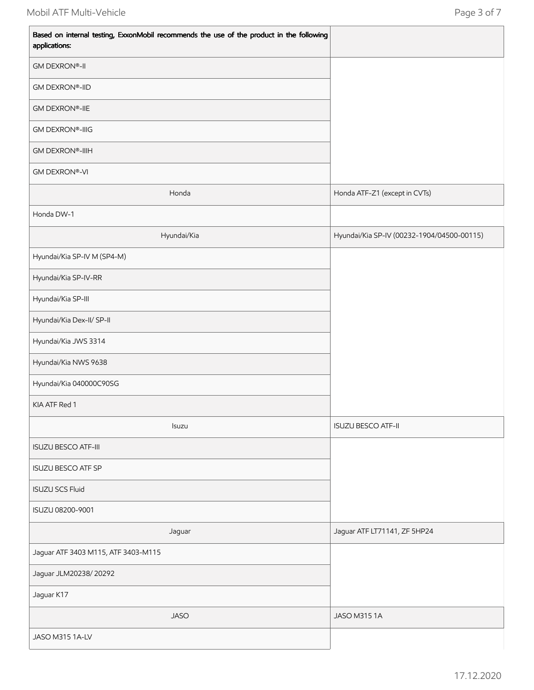$\mathbf{r}$ 

| Based on internal testing, ExxonMobil recommends the use of the product in the following<br>applications: |                                            |
|-----------------------------------------------------------------------------------------------------------|--------------------------------------------|
| <b>GM DEXRON®-II</b>                                                                                      |                                            |
| <b>GM DEXRON®-IID</b>                                                                                     |                                            |
| <b>GM DEXRON®-IIE</b>                                                                                     |                                            |
| <b>GM DEXRON®-IIIG</b>                                                                                    |                                            |
| <b>GM DEXRON®-IIIH</b>                                                                                    |                                            |
| <b>GM DEXRON®-VI</b>                                                                                      |                                            |
| Honda                                                                                                     | Honda ATF-Z1 (except in CVTs)              |
| Honda DW-1                                                                                                |                                            |
| Hyundai/Kia                                                                                               | Hyundai/Kia SP-IV (00232-1904/04500-00115) |
| Hyundai/Kia SP-IV M (SP4-M)                                                                               |                                            |
| Hyundai/Kia SP-IV-RR                                                                                      |                                            |
| Hyundai/Kia SP-III                                                                                        |                                            |
| Hyundai/Kia Dex-II/ SP-II                                                                                 |                                            |
| Hyundai/Kia JWS 3314                                                                                      |                                            |
| Hyundai/Kia NWS 9638                                                                                      |                                            |
| Hyundai/Kia 040000C90SG                                                                                   |                                            |
| KIA ATF Red 1                                                                                             |                                            |
| Isuzu                                                                                                     | <b>ISUZU BESCO ATF-II</b>                  |
| <b>ISUZU BESCO ATF-III</b>                                                                                |                                            |
| <b>ISUZU BESCO ATF SP</b>                                                                                 |                                            |
| <b>ISUZU SCS Fluid</b>                                                                                    |                                            |
| ISUZU 08200-9001                                                                                          |                                            |
| Jaguar                                                                                                    | Jaguar ATF LT71141, ZF 5HP24               |
| Jaguar ATF 3403 M115, ATF 3403-M115                                                                       |                                            |
| Jaguar JLM20238/20292                                                                                     |                                            |
| Jaguar K17                                                                                                |                                            |
| <b>JASO</b>                                                                                               | JASO M315 1A                               |
| JASO M315 1A-LV                                                                                           |                                            |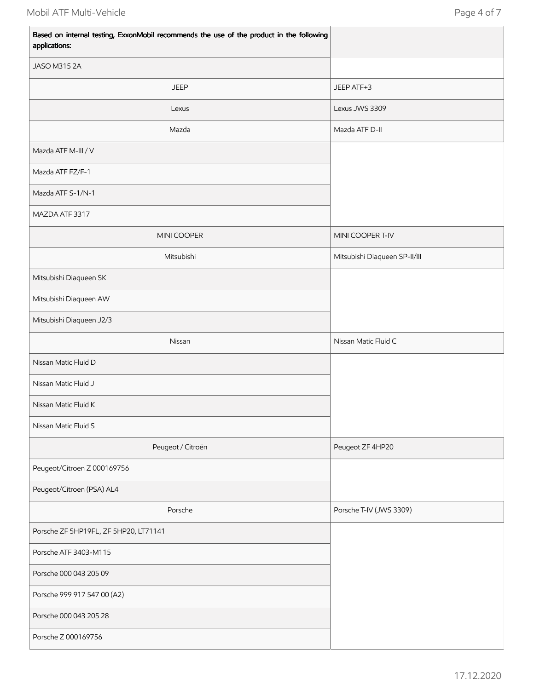| Based on internal testing, ExxonMobil recommends the use of the product in the following<br>applications: |                               |
|-----------------------------------------------------------------------------------------------------------|-------------------------------|
| JASO M315 2A                                                                                              |                               |
| <b>JEEP</b>                                                                                               | JEEP ATF+3                    |
| Lexus                                                                                                     | Lexus JWS 3309                |
| Mazda                                                                                                     | Mazda ATF D-II                |
| Mazda ATF M-III / V                                                                                       |                               |
| Mazda ATF FZ/F-1                                                                                          |                               |
| Mazda ATF S-1/N-1                                                                                         |                               |
| MAZDA ATF 3317                                                                                            |                               |
| MINI COOPER                                                                                               | MINI COOPER T-IV              |
| Mitsubishi                                                                                                | Mitsubishi Diaqueen SP-II/III |
| Mitsubishi Diaqueen SK                                                                                    |                               |
| Mitsubishi Diaqueen AW                                                                                    |                               |
| Mitsubishi Diaqueen J2/3                                                                                  |                               |
| Nissan                                                                                                    | Nissan Matic Fluid C          |
| Nissan Matic Fluid D                                                                                      |                               |
| Nissan Matic Fluid J                                                                                      |                               |
| Nissan Matic Fluid K                                                                                      |                               |
| Nissan Matic Fluid S                                                                                      |                               |
| Peugeot / Citroën                                                                                         | Peugeot ZF 4HP20              |
| Peugeot/Citroen Z 000169756                                                                               |                               |
| Peugeot/Citroen (PSA) AL4                                                                                 |                               |
| Porsche                                                                                                   | Porsche T-IV (JWS 3309)       |
| Porsche ZF 5HP19FL, ZF 5HP20, LT71141                                                                     |                               |
| Porsche ATF 3403-M115                                                                                     |                               |
| Porsche 000 043 205 09                                                                                    |                               |
| Porsche 999 917 547 00 (A2)                                                                               |                               |
| Porsche 000 043 205 28                                                                                    |                               |
| Porsche Z 000169756                                                                                       |                               |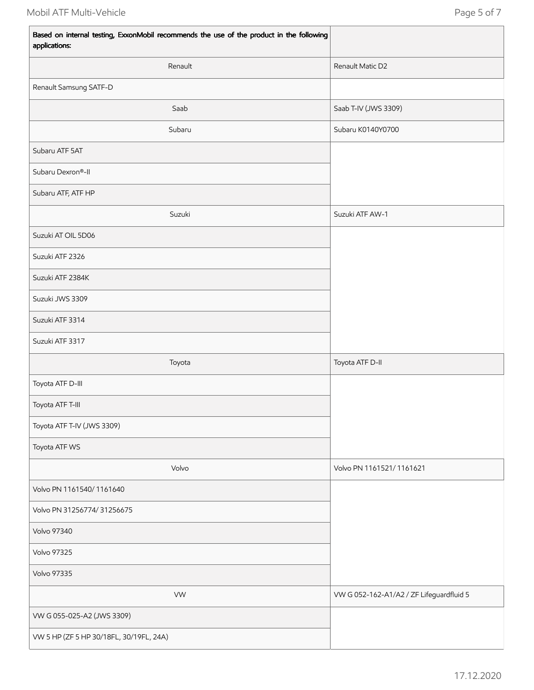| Based on internal testing, ExxonMobil recommends the use of the product in the following<br>applications: |                                          |  |
|-----------------------------------------------------------------------------------------------------------|------------------------------------------|--|
| Renault                                                                                                   | Renault Matic D2                         |  |
| Renault Samsung SATF-D                                                                                    |                                          |  |
| Saab                                                                                                      | Saab T-IV (JWS 3309)                     |  |
| Subaru                                                                                                    | Subaru K0140Y0700                        |  |
| Subaru ATF 5AT                                                                                            |                                          |  |
| Subaru Dexron®-II                                                                                         |                                          |  |
| Subaru ATF, ATF HP                                                                                        |                                          |  |
| Suzuki                                                                                                    | Suzuki ATF AW-1                          |  |
| Suzuki AT OIL 5D06                                                                                        |                                          |  |
| Suzuki ATF 2326                                                                                           |                                          |  |
| Suzuki ATF 2384K                                                                                          |                                          |  |
| Suzuki JWS 3309                                                                                           |                                          |  |
| Suzuki ATF 3314                                                                                           |                                          |  |
| Suzuki ATF 3317                                                                                           |                                          |  |
| Toyota                                                                                                    | Toyota ATF D-II                          |  |
| Toyota ATF D-III                                                                                          |                                          |  |
| Toyota ATF T-III                                                                                          |                                          |  |
| Toyota ATF T-IV (JWS 3309)                                                                                |                                          |  |
| Toyota ATF WS                                                                                             |                                          |  |
| Volvo                                                                                                     | Volvo PN 1161521/1161621                 |  |
| Volvo PN 1161540/1161640                                                                                  |                                          |  |
| Volvo PN 31256774/31256675                                                                                |                                          |  |
| <b>Volvo 97340</b>                                                                                        |                                          |  |
| <b>Volvo 97325</b>                                                                                        |                                          |  |
| <b>Volvo 97335</b>                                                                                        |                                          |  |
| <b>VW</b>                                                                                                 | VW G 052-162-A1/A2 / ZF Lifeguardfluid 5 |  |
| VW G 055-025-A2 (JWS 3309)                                                                                |                                          |  |
| VW 5 HP (ZF 5 HP 30/18FL, 30/19FL, 24A)                                                                   |                                          |  |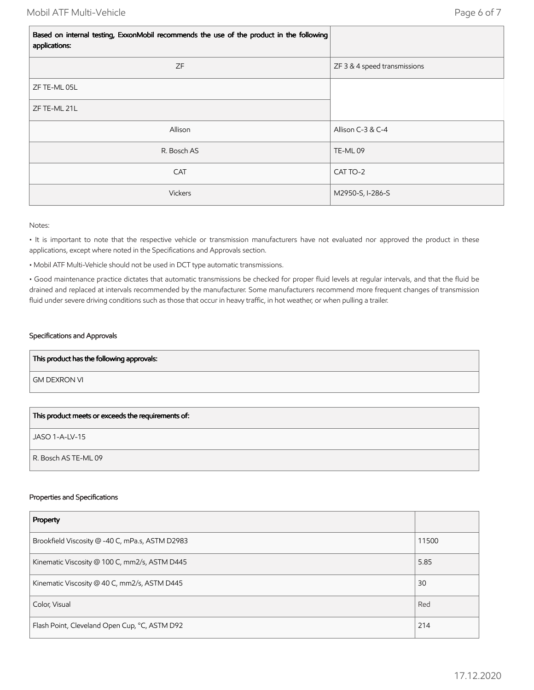$\mathbf{r}$ 

| Based on internal testing, ExxonMobil recommends the use of the product in the following<br>applications: |                              |  |
|-----------------------------------------------------------------------------------------------------------|------------------------------|--|
| ZF                                                                                                        | ZF 3 & 4 speed transmissions |  |
| ZF TE-ML 05L                                                                                              |                              |  |
| ZF TE-ML 21L                                                                                              |                              |  |
| Allison                                                                                                   | Allison C-3 & C-4            |  |
| R. Bosch AS                                                                                               | TE-ML09                      |  |
| <b>CAT</b>                                                                                                | CAT TO-2                     |  |
| Vickers                                                                                                   | M2950-S, I-286-S             |  |

## Notes:

• It is important to note that the respective vehicle or transmission manufacturers have not evaluated nor approved the product in these applications, except where noted in the Specifications and Approvals section.

• Mobil ATF Multi-Vehicle should not be used in DCT type automatic transmissions.

• Good maintenance practice dictates that automatic transmissions be checked for proper fluid levels at regular intervals, and that the fluid be drained and replaced at intervals recommended by the manufacturer. Some manufacturers recommend more frequent changes of transmission fluid under severe driving conditions such as those that occur in heavy traffic, in hot weather, or when pulling a trailer.

# Specifications and Approvals

| This product has the following approvals: |
|-------------------------------------------|
| l GM DEXRON VI                            |
|                                           |

| This product meets or exceeds the requirements of: |
|----------------------------------------------------|
| JASO 1-A-LV-15                                     |
| R. Bosch AS TE-ML 09                               |

## Properties and Specifications

| Property                                        |       |
|-------------------------------------------------|-------|
| Brookfield Viscosity @ -40 C, mPa.s, ASTM D2983 | 11500 |
| Kinematic Viscosity @ 100 C, mm2/s, ASTM D445   | 5.85  |
| Kinematic Viscosity @ 40 C, mm2/s, ASTM D445    | 30    |
| Color, Visual                                   | Red   |
| Flash Point, Cleveland Open Cup, °C, ASTM D92   | 214   |